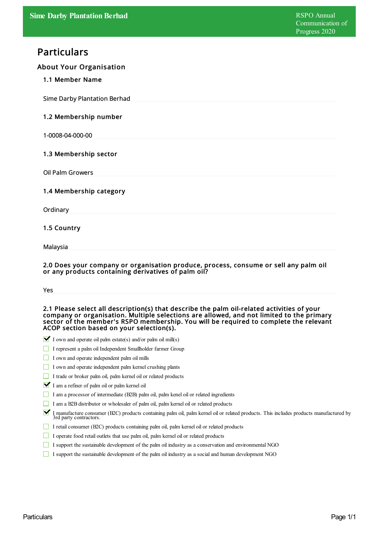# Particulars

## About Your Organisation

## 1.1 Member Name

Sime Darby Plantation Berhad

## 1.2 Membership number

1-0008-04-000-00

## 1.3 Membership sector

Oil Palm Growers

## 1.4 Membership category

**Ordinary** 

## 1.5 Country

Malaysia

#### 2.0 Does your company or organisation produce, process, consume or sell any palm oil or any products containing derivatives of palm oil?

#### 2.1 Please select all description(s) that describe the palm oil-related activities of your company or organisation. Multiple selections are allowed, and not limited to the primary sector of the member's RSPO membership. You will be required to complete the relevant ACOP section based on your selection(s).

- $\blacktriangleright$  I own and operate oil palm estate(s) and/or palm oil mill(s)
- I represent a palm oil Independent Smallholder farmer Group
- I own and operate independent palm oil mills
- I own and operate independent palm kernel crushing plants
- I trade or broker palm oil, palm kernel oil or related products
- I am a refiner of palm oil or palm kernel oil
- I am a processor of intermediate  $(B2B)$  palm oil, palm kenel oil or related ingredients
- I am a B2B distributor or wholesaler of palm oil, palm kernel oil or related products
- I manufacture consumer (B2C) products containing palm oil, palm kernel oil or related products. This includes products manufactured by 3rd party contractors.
- I retail consumer (B2C) products containing palm oil, palm kernel oil or related products
- $\Box$  I operate food retail outlets that use palm oil, palm kernel oil or related products
- I support the sustainable development of the palm oil industry as a conservation and environmental NGO
- I support the sustainable development of the palm oil industry as a socialand human development NGO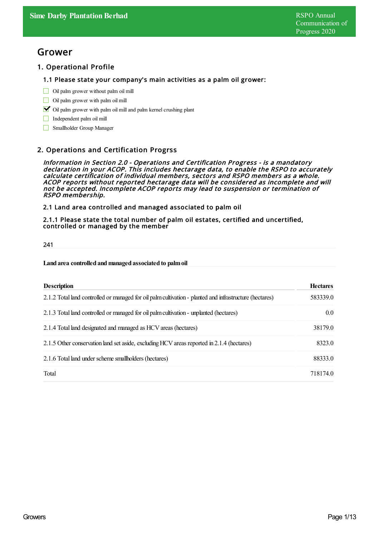## Grower

## 1. Operational Profile

#### 1.1 Please state your company's main activities as a palm oil grower:

- $\Box$  Oil palm grower without palm oil mill
- Oil palm grower with palm oil mill
- $\triangleright$  Oil palm grower with palm oil mill and palm kernel crushing plant
- Independent palm oil mill
- Smallholder Group Manager

## 2. Operations and Certification Progrss

Information in Section 2.0 - Operations and Certification Progress - is <sup>a</sup> mandatory declaration in your ACOP. This includes hectarage data, to enable the RSPO to accurately calculate certification of individual members, sectors and RSPO members as <sup>a</sup> whole. ACOP reports without reported hectarage data will be considered as incomplete and will not be accepted. Incomplete ACOP reports may lead to suspension or termination of RSPO membership.

2.1 Land area controlled and managed associated to palm oil

2.1.1 Please state the total number of palm oil estates, certified and uncertified, controlled or managed by the member

241

#### **Land area controlled andmanaged associated to palmoil**

| <b>Description</b>                                                                                      | <b>Hectares</b>  |
|---------------------------------------------------------------------------------------------------------|------------------|
| 2.1.2 Total land controlled or managed for oil palm cultivation - planted and infrastructure (hectares) | 583339.0         |
| 2.1.3 Total land controlled or managed for oil palm cultivation - unplanted (hectares)                  | 0.0 <sub>1</sub> |
| 2.1.4 Total land designated and managed as HCV areas (hectares)                                         | 38179.0          |
| 2.1.5 Other conservation land set aside, excluding HCV areas reported in 2.1.4 (hectares)               | 8323.0           |
| 2.1.6 Total land under scheme smallholders (hectares)                                                   | 88333.0          |
| Total                                                                                                   | 718174.0         |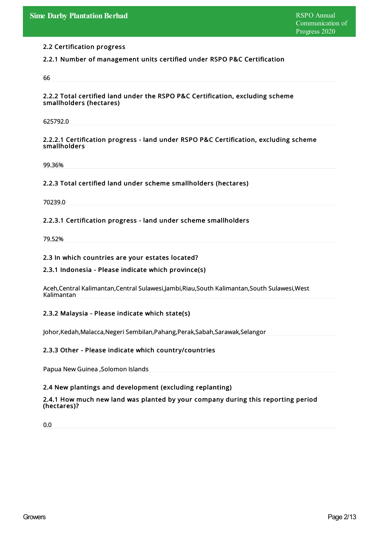## 2.2 Certification progress

## 2.2.1 Number of management units certified under RSPO P&C Certification

66

#### 2.2.2 Total certified land under the RSPO P&C Certification, excluding scheme smallholders (hectares)

625792.0

#### 2.2.2.1 Certification progress - land under RSPO P&C Certification, excluding scheme smallholders

99.36%

## 2.2.3 Total certified land under scheme smallholders (hectares)

70239.0

## 2.2.3.1 Certification progress - land under scheme smallholders

79.52%

#### 2.3 In which countries are your estates located?

## 2.3.1 Indonesia - Please indicate which province(s)

Aceh,Central Kalimantan,Central Sulawesi,Jambi,Riau,South Kalimantan,South Sulawesi,West Kalimantan

## 2.3.2 Malaysia - Please indicate which state(s)

Johor,Kedah,Malacca,Negeri Sembilan,Pahang,Perak,Sabah,Sarawak,Selangor

## 2.3.3 Other - Please indicate which country/countries

Papua New Guinea ,Solomon Islands

## 2.4 New plantings and development (excluding replanting)

#### 2.4.1 How much new land was planted by your company during this reporting period (hectares)?

0.0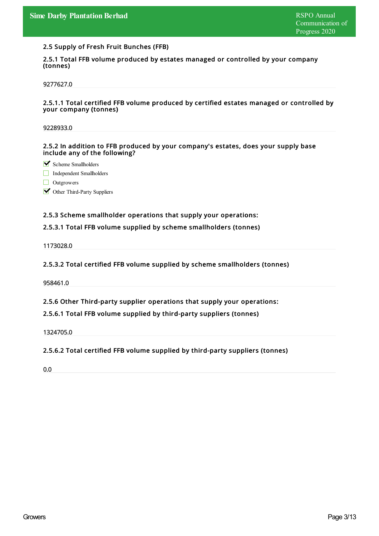#### 2.5 Supply of Fresh Fruit Bunches (FFB)

2.5.1 Total FFB volume produced by estates managed or controlled by your company (tonnes)

9277627.0

#### 2.5.1.1 Total certified FFB volume produced by certified estates managed or controlled by your company (tonnes)

9228933.0

2.5.2 In addition to FFB produced by your company's estates, does your supply base include any of the following?

Scheme Smallholders

Independent Smallholders

Outgrowers

**M** Other Third-Party Suppliers

#### 2.5.3 Scheme smallholder operations that supply your operations:

#### 2.5.3.1 Total FFB volume supplied by scheme smallholders (tonnes)

1173028.0

#### 2.5.3.2 Total certified FFB volume supplied by scheme smallholders (tonnes)

958461.0

2.5.6 Other Third-party supplier operations that supply your operations:

#### 2.5.6.1 Total FFB volume supplied by third-party suppliers (tonnes)

1324705.0

## 2.5.6.2 Total certified FFB volume supplied by third-party suppliers (tonnes)

0.0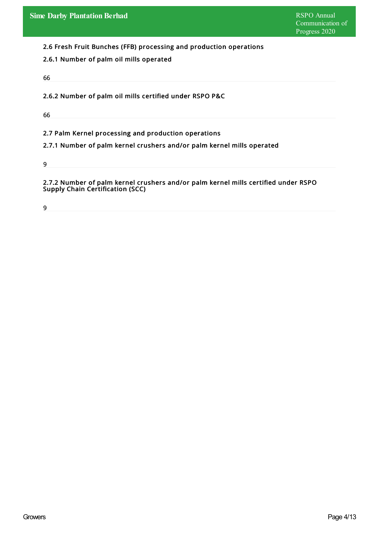2.6 Fresh Fruit Bunches (FFB) processing and production operations

## 2.6.1 Number of palm oil mills operated

66

2.6.2 Number of palm oil mills certified under RSPO P&C

66

2.7 Palm Kernel processing and production operations

2.7.1 Number of palm kernel crushers and/or palm kernel mills operated

9

2.7.2 Number of palm kernel crushers and/or palm kernel mills certified under RSPO Supply Chain Certification (SCC)

9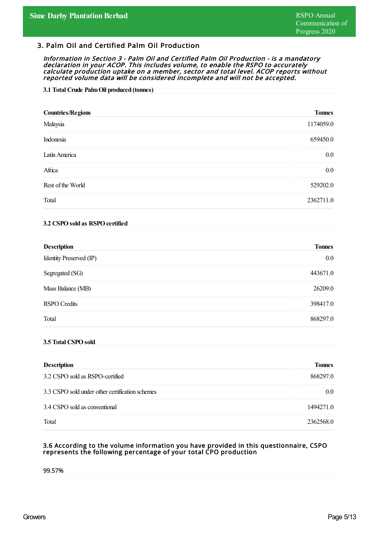## 3. Palm Oil and Certified Palm Oil Production

Information in Section 3 - Palm Oil and Certified Palm Oil Production - is <sup>a</sup> mandatory declaration in your ACOP. This includes volume, to enable the RSPO to accurately calculate production uptake on <sup>a</sup> member, sector and total level. ACOP reports without reported volume data will be considered incomplete and will not be accepted.

#### **3.1 Total Crude PalmOil produced (tonnes)**

| <b>Countries/Regions</b> | <b>Tonnes</b> |
|--------------------------|---------------|
| Malaysia                 | 1174059.0     |
| Indonesia                | 659450.0      |
| Latin America            | $0.0\,$       |
| Africa                   | $0.0\,$       |
| Rest of the World        | 529202.0      |
| Total                    | 2362711.0     |

#### **3.2 CSPOsold as RSPOcertified**

| <b>Description</b>      | <b>Tonnes</b> |
|-------------------------|---------------|
| Identity Preserved (IP) | $0.0\,$       |
| Segregated (SG)         | 443671.0      |
| Mass Balance (MB)       | 26209.0       |
| <b>RSPO</b> Credits     | 398417.0      |
| Total                   | 868297.0      |

#### **3.5 Total CSPOsold**

| <b>Description</b>                              | <b>Tonnes</b>    |
|-------------------------------------------------|------------------|
| 3.2 CSPO sold as RSPO-certified                 | 868297.0         |
| 3.3 CSPO sold under other certification schemes | 0.0 <sub>1</sub> |
| 3.4 CSPO sold as conventional                   | 1494271.0        |
| Total                                           | 2362568.0        |

#### 3.6 According to the volume information you have provided in this questionnaire, CSPO represents the following percentage of your total CPO production

99.57%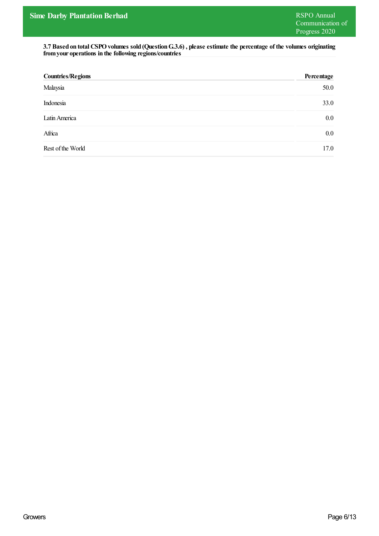**3.7 Based on total CSPOvolumes sold (QuestionG.3.6) , please estimate the percentage of the volumes originating fromyour operations in the following regions/countries**

| <b>Countries/Regions</b> | Percentage |
|--------------------------|------------|
| Malaysia                 | 50.0       |
| Indonesia                | 33.0       |
| Latin America            | $0.0\,$    |
| Africa                   | $0.0\,$    |
| Rest of the World        | 17.0       |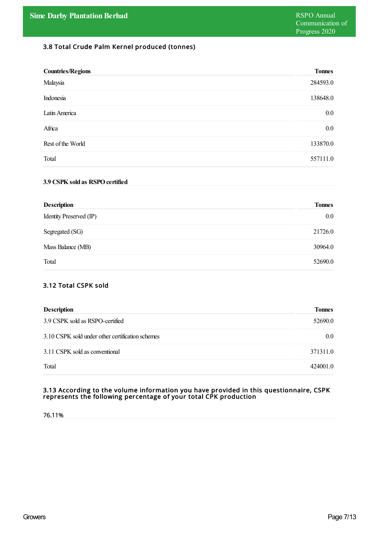## 3.8 Total Crude Palm Kernel produced (tonnes)

| <b>Countries/Regions</b> | <b>Tonnes</b> |
|--------------------------|---------------|
| Malaysia                 | 284593.0      |
| Indonesia                | 138648.0      |
| Latin America            | $0.0\,$       |
| Africa                   | $0.0\,$       |
| Rest of the World        | 133870.0      |
| Total                    | 557111.0      |

#### **3.9 CSPKsold as RSPOcertified**

| <b>Description</b>      | <b>Tonnes</b> |
|-------------------------|---------------|
| Identity Preserved (IP) | $0.0\,$       |
| Segregated (SG)         | 21726.0       |
| Mass Balance (MB)       | 30964.0       |
| Total                   | 52690.0       |

## 3.12 Total CSPK sold

| <b>Description</b>                               | <b>Tonnes</b> |
|--------------------------------------------------|---------------|
| 3.9 CSPK sold as RSPO-certified                  | 52690.0       |
| 3.10 CSPK sold under other certification schemes | 0.0           |
| 3.11 CSPK sold as conventional                   | 371311.0      |
| Total                                            | 424001.0      |

#### 3.13 According to the volume information you have provided in this questionnaire, CSPK represents the following percentage of your total CPK production

76.11%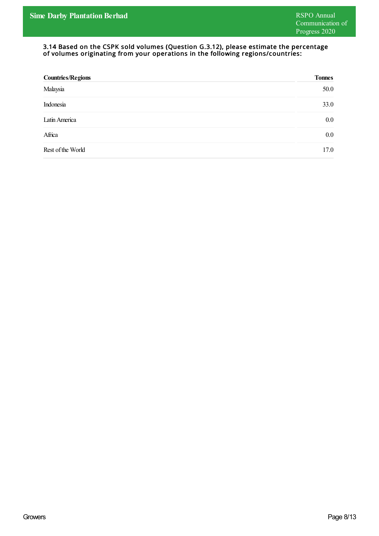#### 3.14 Based on the CSPK sold volumes (Question G.3.12), please estimate the percentage of volumes originating from your operations in the following regions/countries:

| <b>Countries/Regions</b> | <b>Tonnes</b> |
|--------------------------|---------------|
| Malaysia                 | 50.0          |
| Indonesia                | 33.0          |
| Latin America            | 0.0           |
| Africa                   | 0.0           |
| Rest of the World        | 17.0          |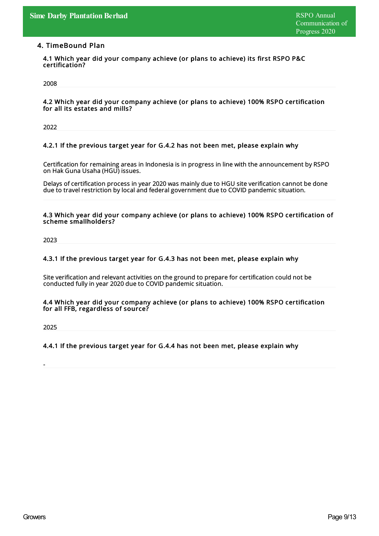## 4. TimeBound Plan

4.1 Which year did your company achieve (or plans to achieve) its first RSPO P&C certification?

2008

#### 4.2 Which year did your company achieve (or plans to achieve) 100% RSPO certification for all its estates and mills?

2022

#### 4.2.1 If the previous target year for G.4.2 has not been met, please explain why

Certification for remaining areas in Indonesia is in progress in line with the announcement by RSPO on Hak Guna Usaha (HGU) issues.

Delays of certification process in year 2020 was mainly due to HGU site verification cannot be done due to travel restriction bylocal and federal government due to COVID pandemic situation.

#### 4.3 Which year did your company achieve (or plans to achieve) 100% RSPO certification of scheme smallholders?

2023

#### 4.3.1 If the previous target year for G.4.3 has not been met, please explain why

Site verification and relevant activities on the ground to prepare for certification could not be conducted fullyin year 2020 due to COVID pandemic situation.

#### 4.4 Which year did your company achieve (or plans to achieve) 100% RSPO certification for all FFB, regardless of source?

2025

-

## 4.4.1 If the previous target year for G.4.4 has not been met, please explain why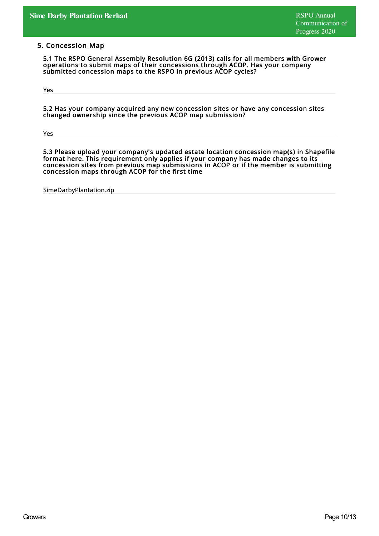#### 5. Concession Map

5.1 The RSPO General Assembly Resolution 6G (2013) calls for all members with Grower operations to submit maps of their concessions through ACOP. Has your company submitted concession maps to the RSPO in previous ACOP cycles?

Yes

5.2 Has your company acquired any new concession sites or have any concession sites changed ownership since the previous ACOP map submission?

Yes

5.3 Please upload your company's updated estate location concession map(s) in Shapefile format here. This requirement only applies if your company has made changes to its concession sites from previous map submissions in ACOP or if the member is submitting concession maps through ACOP for the first time

SimeDarbyPlantation.zip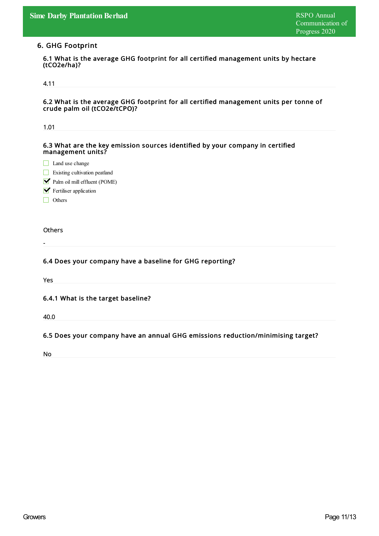## 6. GHG Footprint

6.1 What is the average GHG footprint for all certified management units by hectare (tCO2e/ha)?

## 4.11

6.2 What is the average GHG footprint for all certified management units per tonne of crude palm oil (tCO2e/tCPO)?

| 1.01                                                                                               |
|----------------------------------------------------------------------------------------------------|
|                                                                                                    |
| 6.3 What are the key emission sources identified by your company in certified<br>management units? |
| $\Box$ Land use change                                                                             |
| Existing cultivation peatland                                                                      |
| Palm oil mill effluent (POME)                                                                      |
| $\blacktriangleright$ Fertiliser application                                                       |
| Others                                                                                             |
|                                                                                                    |
| Others                                                                                             |
|                                                                                                    |
|                                                                                                    |
| 6.4 Does your company have a baseline for GHG reporting?                                           |
|                                                                                                    |
| Yes                                                                                                |
|                                                                                                    |
| 6.4.1 What is the target baseline?                                                                 |
|                                                                                                    |
| 40.0                                                                                               |
|                                                                                                    |
| 6.5 Does your company have an annual GHG emissions reduction/minimising target?                    |
| No                                                                                                 |
|                                                                                                    |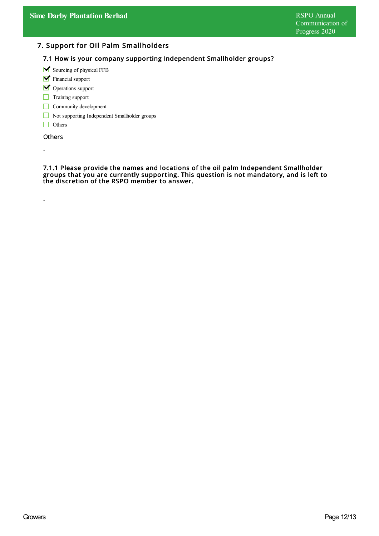## 7. Support for Oil Palm Smallholders

## 7.1 How is your company supporting Independent Smallholder groups?

 $\blacktriangleright$  Sourcing of physical FFB

- **V** Financial support
- Operations support
- Training support
- Community development
- Not supporting Independent Smallholder groups
- Others

**Others** 

-

-

7.1.1 Please provide the names and locations of the oil palm Independent Smallholder groups that you are currently supporting. This question is not mandatory, and is left to the discretion of the RSPO member to answer.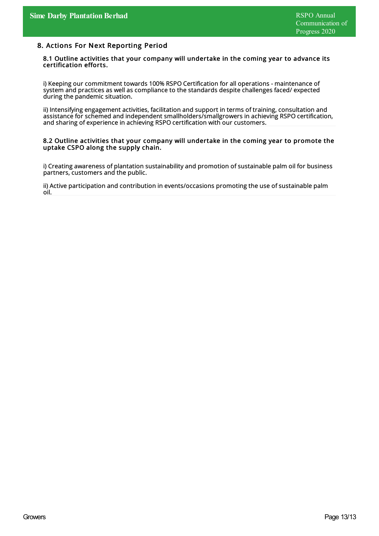#### 8. Actions For Next Reporting Period

#### 8.1 Outline activities that your company will undertake in the coming year to advance its certification efforts.

i) Keeping our commitment towards 100% RSPO Certification for all operations - maintenance of system and practices as well as compliance to the standards despite challenges faced/ expected during the pandemic situation.

ii) Intensifying engagement activities, facilitation and support in terms of training, consultation and assistance for schemed and independent smallholders/smallgrowers in achieving RSPO certification, and sharing of experience in achieving RSPO certification with our customers.

#### 8.2 Outline activities that your company will undertake in the coming year to promote the uptake CSPO along the supply chain.

i) Creating awareness of plantation sustainability and promotion of sustainable palm oil for business partners, customers and the public.

ii) Active participation and contribution in events/occasions promoting the use of sustainable palm oil.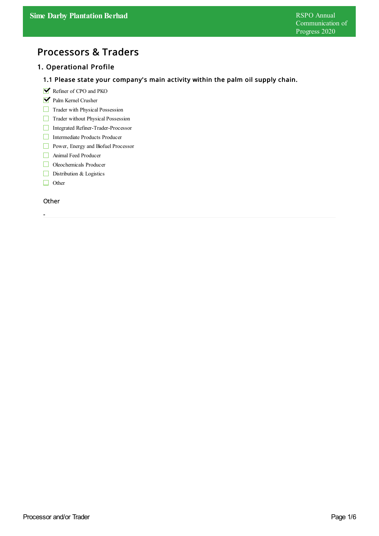# Processors & Traders

## 1. Operational Profile

## 1.1 Please state your company's main activity within the palm oil supply chain.

- Refiner of CPO and PKO
- Palm Kernel Crusher
- Trader with Physical Possession
- Trader without Physical Possession
- Integrated Refiner-Trader-Processor
- Intermediate Products Producer
- **Power**, Energy and Biofuel Processor
- Animal Feed Producer
- Oleochemicals Producer
- Distribution & Logistics
- $\Box$  Other

#### **Other**

-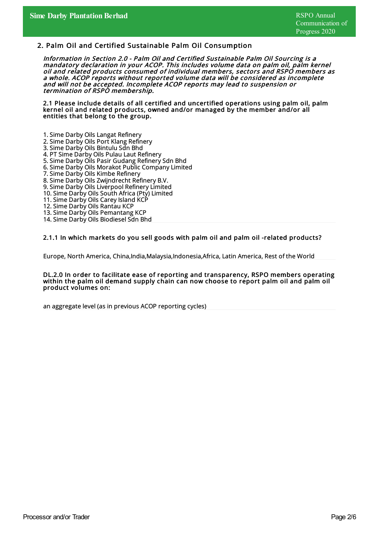### 2. Palm Oil and Certified Sustainable Palm Oil Consumption

Information in Section 2.0 - Palm Oil and Certified Sustainable Palm Oil Sourcing is <sup>a</sup> mandatory declaration in your ACOP. This includes volume data on palm oil, palm kernel oil and related products consumed of individual members, sectors and RSPO members as <sup>a</sup> whole. ACOP reports without reported volume data will be considered as incomplete and will not be accepted. Incomplete ACOP reports may lead to suspension or termination of RSPO membership.

2.1 Please include details of all certified and uncertified operations using palm oil, palm kernel oil and related products, owned and/or managed by the member and/or all entities that belong to the group.

- 1. Sime Darby Oils Langat Refinery 2. Sime Darby Oils Port Klang Refinery
- 3. Sime Darby Oils Bintulu Sdn Bhd
- 4. PT Sime Darby Oils Pulau Laut Refinery
- 5. Sime Darby Oils Pasir Gudang Refinery Sdn Bhd
- 6. Sime Darby Oils Morakot Public CompanyLimited
- 7. Sime Darby Oils Kimbe Refinery
- 8. Sime Darby Oils Zwijndrecht Refinery B.V.
- 9. Sime Darby Oils Liverpool Refinery Limited
- 10. Sime Darby Oils South Africa (Pty) Limited
- 11. Sime Darby Oils Carey Island KCP
- 12. Sime Darby Oils Rantau KCP
- 13. Sime Darby Oils Pemantang KCP
- 14. Sime Darby Oils Biodiesel Sdn Bhd

#### 2.1.1 In which markets do you sell goods with palm oil and palm oil -related products?

Europe, North America, China,India,Malaysia,Indonesia,Africa,Latin America, Rest of the World

#### DL.2.0 In order to facilitate ease of reporting and transparency, RSPO members operating within the palm oil demand supply chain can now choose to report palm oil and palm oil product volumes on:

an aggregate level (as in previous ACOP reporting cycles)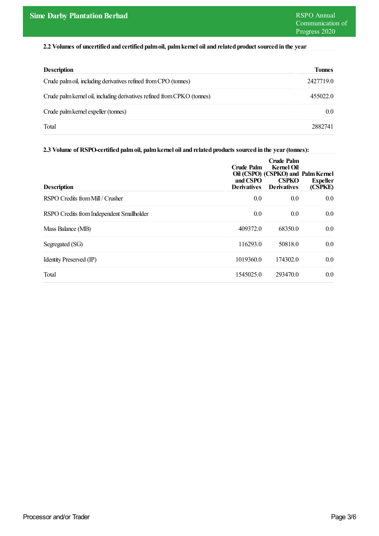### **2.2 Volumes of uncertified and certified palmoil, palmkernel oil and related product sourced in the year**

| <b>Description</b>                                                      | <b>Tonnes</b>    |
|-------------------------------------------------------------------------|------------------|
| Crude palm oil, including derivatives refined from CPO (tonnes)         | 2427719.0        |
| Crude palm kernel oil, including derivatives refined from CPKO (tonnes) | 455022.0         |
| Crude palm kernel expeller (tonnes)                                     | 0.0 <sub>1</sub> |
| Total                                                                   | 2882741          |

#### **2.3 Volume of RSPO-certified palmoil, palmkernel oil and related products sourced in the year(tonnes):**

| <b>Description</b>                        | Crude Palm<br>and CSPO<br><b>Derivatives</b> | Crude Palm<br>Kernel Oil<br>Oil (CSPO) (CSPKO) and Palm Kernel<br><b>CSPKO</b><br><b>Derivatives</b> | <b>Expeller</b><br>(CSPKE) |
|-------------------------------------------|----------------------------------------------|------------------------------------------------------------------------------------------------------|----------------------------|
| RSPO Credits from Mill / Crusher          | 0.0                                          | 0.0                                                                                                  | 0.0                        |
| RSPO Credits from Independent Smallholder | 0.0                                          | 0.0                                                                                                  | 0.0                        |
| Mass Balance (MB)                         | 409372.0                                     | 68350.0                                                                                              | 0.0                        |
| Segregated (SG)                           | 116293.0                                     | 50818.0                                                                                              | 0.0                        |
| Identity Preserved (IP)                   | 1019360.0                                    | 174302.0                                                                                             | 0.0                        |
| Total                                     | 1545025.0                                    | 293470.0                                                                                             | 0.0                        |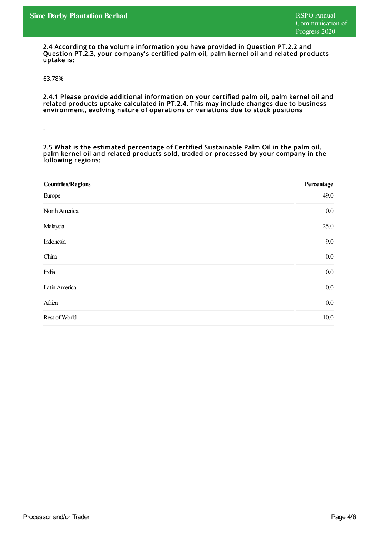2.4 According to the volume information you have provided in Question PT.2.2 and Question PT.2.3, your company's certified palm oil, palm kernel oil and related products uptake is:

63.78%

-

2.4.1 Please provide additional information on your certified palm oil, palm kernel oil and related products uptake calculated in PT.2.4. This may include changes due to business environment, evolving nature of operations or variations due to stock positions

#### 2.5 What is the estimated percentage of Certified Sustainable Palm Oil in the palm oil, palm kernel oil and related products sold, traded or processed by your company in the following regions:

| <b>Countries/Regions</b> | Percentage |
|--------------------------|------------|
| Europe                   | 49.0       |
| North America            | $0.0\,$    |
| Malaysia                 | 25.0       |
| Indonesia                | 9.0        |
| China                    | $0.0\,$    |
| India                    | $0.0\,$    |
| Latin America            | $0.0\,$    |
| Africa                   | $0.0\,$    |
| Rest of World            | 10.0       |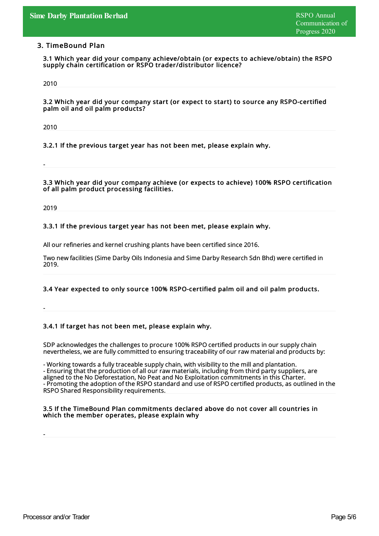### 3. TimeBound Plan

3.1 Which year did your company achieve/obtain (or expects to achieve/obtain) the RSPO supply chain certification or RSPO trader/distributor licence?

2010

3.2 Which year did your company start (or expect to start) to source any RSPO-certified palm oil and oil palm products?

2010

-

3.2.1 If the previous target year has not been met, please explain why.

3.3 Which year did your company achieve (or expects to achieve) 100% RSPO certification of all palm product processing facilities.

2019

-

-

#### 3.3.1 If the previous target year has not been met, please explain why.

All our refineries and kernel crushing plants have been certified since 2016.

Two new facilities (Sime Darby Oils Indonesia and Sime Darby Research Sdn Bhd) were certified in 2019.

#### 3.4 Year expected to only source 100% RSPO-certified palm oil and oil palm products.

3.4.1 If target has not been met, please explain why.

SDP acknowledges the challenges to procure 100% RSPO certified products in our supplychain nevertheless, we are fullycommitted to ensuring traceability of our rawmaterial and products by:

- Working towards a fully traceable supply chain, with visibility to the mill and plantation. - Ensuring that the production of all our rawmaterials, including from third partysuppliers, are aligned to the No Deforestation, No Peat and No Exploitation commitments in this Charter. - Promoting the adoption of the RSPO standard and use of RSPO certified products, as outlined in the RSPO Shared Responsibility requirements.

#### 3.5 If the TimeBound Plan commitments declared above do not cover all countries in which the member operates, please explain why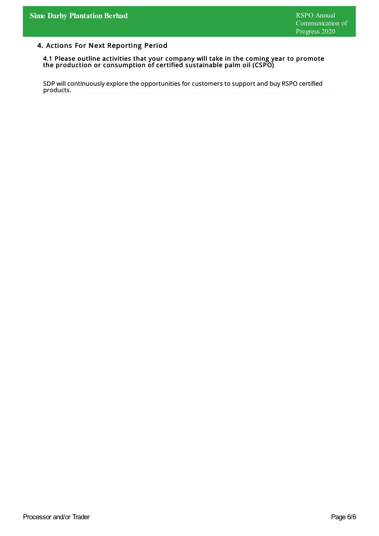## 4. Actions For Next Reporting Period

#### 4.1 Please outline activities that your company will take in the coming year to promote the production or consumption of certified sustainable palm oil (CSPO)

SDP will continuously explore the opportunities for customers to support and buy RSPO certified products.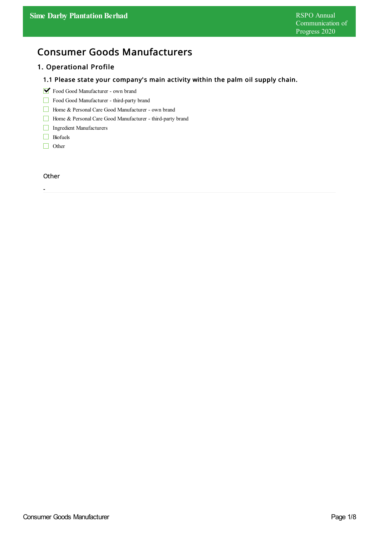# Consumer Goods Manufacturers

## 1. Operational Profile

## 1.1 Please state your company's main activity within the palm oil supply chain.

- Food Good Manufacturer own brand
- Food Good Manufacturer third-party brand
- Home & Personal Care Good Manufacturer own brand
- Home & Personal Care Good Manufacturer third-party brand
- Ingredient Manufacturers
- **Biofuels**
- □ Other

#### **Other**

-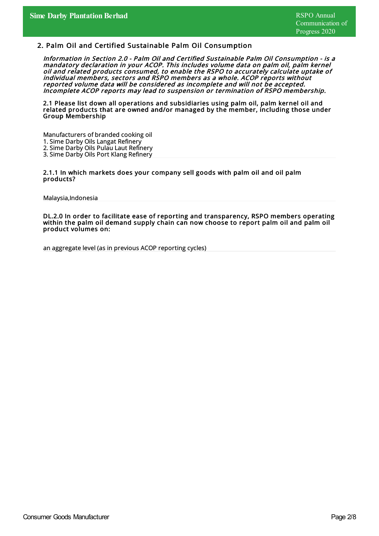#### 2. Palm Oil and Certified Sustainable Palm Oil Consumption

Information in Section 2.0 - Palm Oil and Certified Sustainable Palm Oil Consumption - is <sup>a</sup> mandatory declaration in your ACOP. This includes volume data on palm oil, palm kernel oil and related products consumed, to enable the RSPO to accurately calculate uptake of individual members, sectors and RSPO members as <sup>a</sup> whole. ACOP reports without reported volume data will be considered as incomplete and will not be accepted. Incomplete ACOP reports may lead to suspension or termination of RSPO membership.

2.1 Please list down all operations and subsidiaries using palm oil, palm kernel oil and related products that are owned and/or managed by the member, including those under Group Membership

Manufacturers of branded cooking oil 1. Sime Darby Oils Langat Refinery 2. Sime Darby Oils Pulau Laut Refinery 3. Sime Darby Oils Port Klang Refinery

2.1.1 In which markets does your company sell goods with palm oil and oil palm products?

Malaysia,Indonesia

DL.2.0 In order to facilitate ease of reporting and transparency, RSPO members operating within the palm oil demand supply chain can now choose to report palm oil and palm oil product volumes on:

an aggregate level (as in previous ACOP reporting cycles)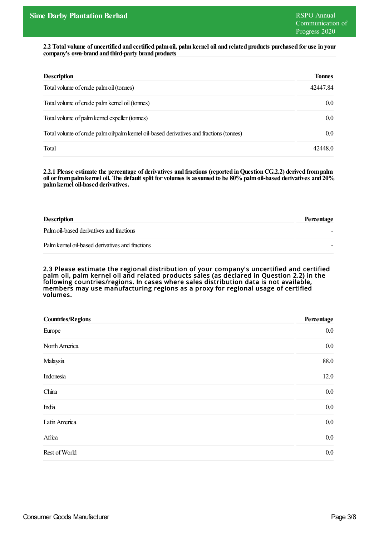2.2 Total volume of uncertified and certified palm oil, palm kernel oil and related products purchased for use in your **company's own-brand and third-party brand products**

| <b>Description</b>                                                                      | <b>Tonnes</b>    |
|-----------------------------------------------------------------------------------------|------------------|
| Total volume of crude palm oil (tonnes)                                                 | 42447.84         |
| Total volume of crude palm kernel oil (tonnes)                                          | 0.0 <sub>1</sub> |
| Total volume of palm kernel expeller (tonnes)                                           | $0.0\,$          |
| Total volume of crude palm oil/palm kernel oil-based derivatives and fractions (tonnes) | $0.0\,$          |
| Total                                                                                   | 42448.0          |

**2.2.1 Please estimate the percentage of derivatives and fractions (reported inQuestionCG.2.2) derived frompalm** oil or from palm kernel oil. The default split for volumes is assumed to be 80% palm oil-based derivatives and 20% **palmkernel oil-based derivatives.**

| <b>Description</b>                              | Percentage |
|-------------------------------------------------|------------|
| Palm oil-based derivatives and fractions        |            |
| Palm kernel oil-based derivatives and fractions |            |

2.3 Please estimate the regional distribution of your company's uncertified and certified palm oil, palm kernel oil and related products sales (as declared in Question 2.2) in the following countries/regions. In cases where sales distribution data is not available, members may use manufacturing regions as <sup>a</sup> proxy for regional usage of certified volumes.

| <b>Countries/Regions</b> | Percentage |
|--------------------------|------------|
| Europe                   | $0.0\,$    |
| North America            | $0.0\,$    |
| Malaysia                 | 88.0       |
| Indonesia                | 12.0       |
| China                    | $0.0\,$    |
| India                    | $0.0\,$    |
| Latin America            | $0.0\,$    |
| Africa                   | $0.0\,$    |
| Rest of World            | $0.0\,$    |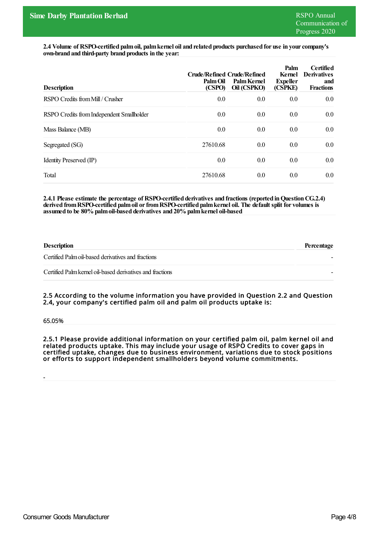**2.4 Volume of RSPO-certified palmoil, palmkernel oil and related products purchased for use in yourcompany's own-brand and third-party brand products in the year:**

| <b>Description</b>                        | <b>Crude/Refined Crude/Refined</b><br>Palm Oil<br>(CSPO) | Palm Kernel<br>Oil (CSPKO) | Palm<br>Kernel<br><b>Expeller</b><br>(CSPKE) | <b>Certified</b><br><b>Derivatives</b><br>and<br><b>Fractions</b> |
|-------------------------------------------|----------------------------------------------------------|----------------------------|----------------------------------------------|-------------------------------------------------------------------|
| RSPO Credits from Mill / Crusher          | 0.0                                                      | 0.0                        | 0.0                                          | 0.0                                                               |
| RSPO Credits from Independent Smallholder | 0.0                                                      | 0.0                        | 0.0                                          | 0.0                                                               |
| Mass Balance (MB)                         | 0.0                                                      | 0.0                        | 0.0                                          | 0.0                                                               |
| Segregated (SG)                           | 27610.68                                                 | 0.0                        | 0.0                                          | 0.0                                                               |
| Identity Preserved (IP)                   | 0.0                                                      | 0.0                        | 0.0                                          | 0.0                                                               |
| Total                                     | 27610.68                                                 | 0.0                        | 0.0                                          | 0.0                                                               |

**2.4.1 Please estimate the percentage of RSPO-certified derivatives and fractions (reported inQuestionCG.2.4) derived fromRSPO-certified palmoil orfromRSPO-certified palmkernel oil. The default split for volumes is assumed to be 80% palmoil-based derivatives and 20% palmkernel oil-based**

| <b>Description</b>                                        | Percentage |
|-----------------------------------------------------------|------------|
| Certified Palm oil-based derivatives and fractions        |            |
| Certified Palm kernel oil-based derivatives and fractions |            |

2.5 According to the volume information you have provided in Question 2.2 and Question 2.4, your company's certified palm oil and palm oil products uptake is:

65.05%

-

2.5.1 Please provide additional information on your certified palm oil, palm kernel oil and related products uptake. This may include your usage of RSPO Credits to cover gaps in certified uptake, changes due to business environment, variations due to stock positions or efforts to support independent smallholders beyond volume commitments.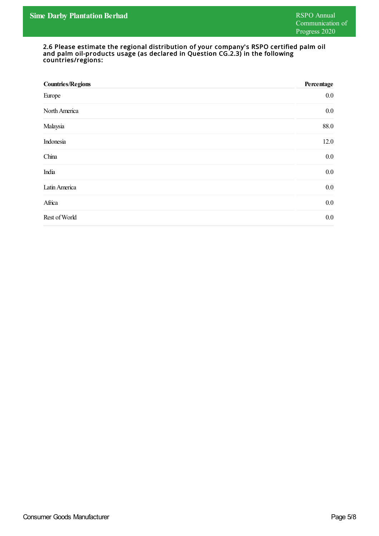#### 2.6 Please estimate the regional distribution of your company's RSPO certified palm oil and palm oil-products usage (as declared in Question CG.2.3) in the following countries/regions:

| <b>Countries/Regions</b> | Percentage |
|--------------------------|------------|
| Europe                   | $0.0\,$    |
| North America            | $0.0\,$    |
| Malaysia                 | 88.0       |
| Indonesia                | 12.0       |
| China                    | $0.0\,$    |
| India                    | $0.0\,$    |
| Latin America            | $0.0\,$    |
| Africa                   | $0.0\,$    |
| Rest of World            | $0.0\,$    |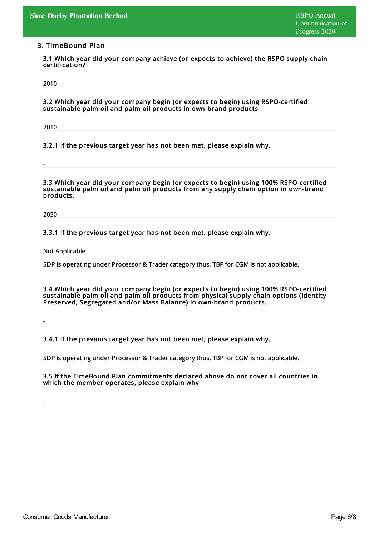### 3. TimeBound Plan

3.1 Which year did your company achieve (or expects to achieve) the RSPO supply chain certification?

2010

3.2 Which year did your company begin (or expects to begin) using RSPO-certified sustainable palm oil and palm oil products in own-brand products

2010

-

3.2.1 If the previous target year has not been met, please explain why.

3.3 Which year did your company begin (or expects to begin) using 100% RSPO-certified sustainable palm oil and palm oil products from any supply chain option in own-brand products.

2030

-

-

#### 3.3.1 If the previous target year has not been met, please explain why.

Not Applicable

SDP is operating under Processor & Trader category thus, TBP for CGM is not applicable.

3.4 Which year did your company begin (or expects to begin) using 100% RSPO-certified sustainable palm oil and palm oil products from physical supply chain options (Identity Preserved, Segregated and/or Mass Balance) in own-brand products.

3.4.1 If the previous target year has not been met, please explain why.

SDP is operating under Processor & Trader category thus, TBP for CGM is not applicable.

3.5 If the TimeBound Plan commitments declared above do not cover all countries in which the member operates, please explain why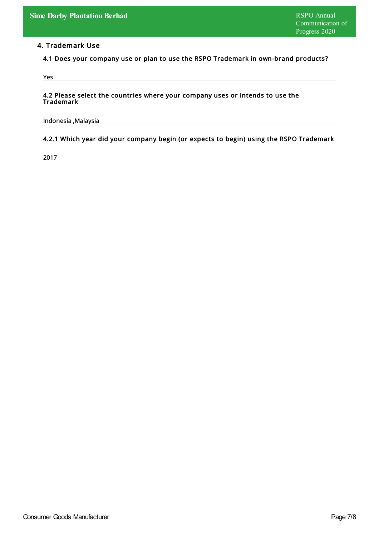## 4. Trademark Use

4.1 Does your company use or plan to use the RSPO Trademark in own-brand products?

Yes

#### 4.2 Please select the countries where your company uses or intends to use the Trademark

Indonesia ,Malaysia

## 4.2.1 Which year did your company begin (or expects to begin) using the RSPO Trademark

2017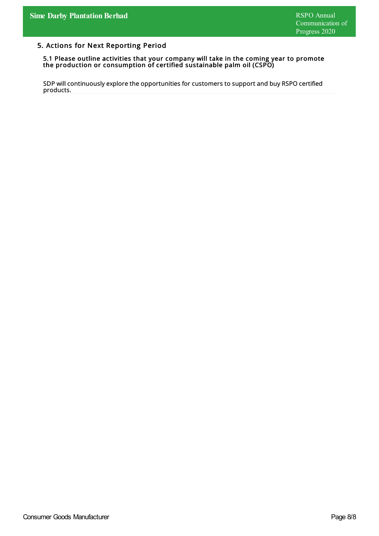## 5. Actions for Next Reporting Period

#### 5.1 Please outline activities that your company will take in the coming year to promote the production or consumption of certified sustainable palm oil (CSPO)

SDP will continuously explore the opportunities for customers to support and buy RSPO certified products.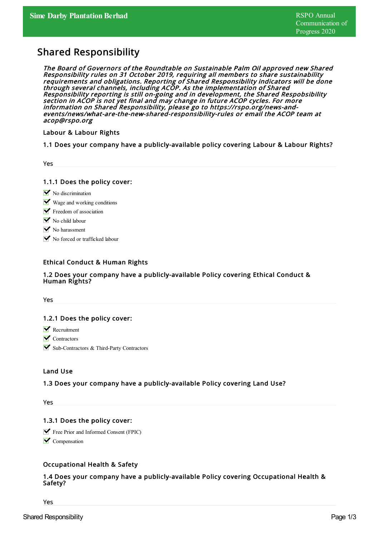# Shared Responsibility

The Board of Governors of the Roundtable on Sustainable Palm Oil approved new Shared Responsibility rules on 31 October 2019, requiring all members to share sustainability requirements and obligations. Reporting of Shared Responsibility indicators will be done through several channels, including ACOP. As the implementation of Shared Responsibility reporting is still on-going and in development, the Shared Respobsibility section in ACOP is not yet final and may change in future ACOP cycles. For more information on Shared Responsibility, please go to https://rspo.org/news-andevents/news/what-are-the-new-shared-responsibility-rules or email the ACOP team at acop@rspo.org

Labour & Labour Rights

1.1 Does your company have a publicly-available policy covering Labour & Labour Rights?

1.1.1 Does the policy cover:

- $\triangleright$  No discrimination
- $\blacksquare$  Wage and working conditions
- $\blacktriangleright$  Freedom of association
- $\triangleright$  No child labour
- $\triangleright$  No harassment
- No forced or trafficked labour

## Ethical Conduct & Human Rights

#### 1.2 Does your company have a publicly-available Policy covering Ethical Conduct & Human Rights?

Yes

## 1.2.1 Does the policy cover:

- **N** Recruitment
- $\triangledown$  Contractors
- Sub-Contractors & Third-Party Contractors

#### Land Use

## 1.3 Does your company have a publicly-available Policy covering Land Use?

Yes

## 1.3.1 Does the policy cover:

**Free Prior and Informed Consent (FPIC)** 

 $\triangleright$  Compensation

## Occupational Health & Safety

## 1.4 Does your company have a publicly-available Policy covering Occupational Health & Safety?

Yes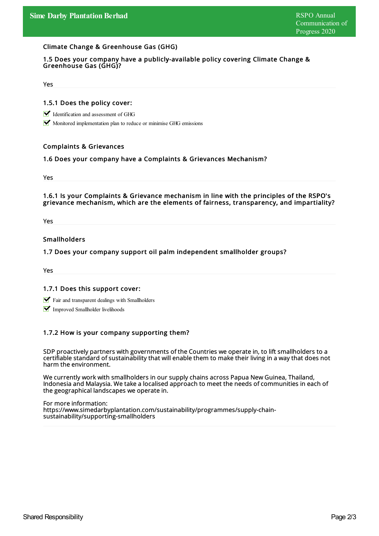#### Climate Change & Greenhouse Gas (GHG)

#### 1.5 Does your company have a publicly-available policy covering Climate Change & Greenhouse Gas (GHG)?

Yes

#### 1.5.1 Does the policy cover:

Identification and assessment of GHG

Monitored implementation plan to reduce or minimise GHG emissions

#### Complaints & Grievances

#### 1.6 Does your company have a Complaints & Grievances Mechanism?

Yes

#### 1.6.1 Is your Complaints & Grievance mechanism in line with the principles of the RSPO's grievance mechanism, which are the elements of fairness, transparency, and impartiality?

Yes

#### Smallholders

#### 1.7 Does your company support oil palm independent smallholder groups?

Yes

#### 1.7.1 Does this support cover:

- Fair and transparent dealings with Smallholders
- **V** Improved Smallholder livelihoods

#### 1.7.2 How is your company supporting them?

SDP proactively partners with governments of the Countries we operate in, to lift smallholders to a certifiable standard of sustainability that will enable them to make their living in a way that does not harm the environment.

We currently work with smallholders in our supplychains across Papua New Guinea, Thailand, Indonesia and Malaysia. We take a localised approach to meet the needs of communities in each of the geographical landscapes we operate in.

For more information: https://www.simedarbyplantation.com/sustainability/programmes/supply-chainsustainability/supporting-smallholders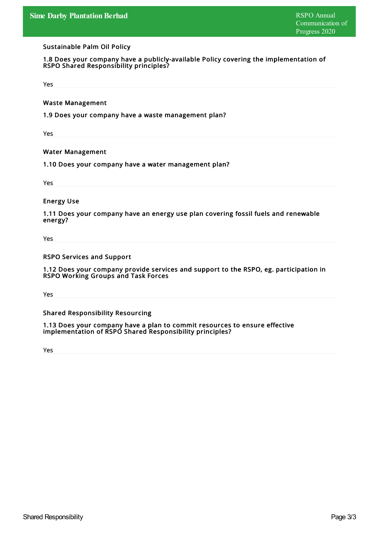#### Sustainable Palm Oil Policy

1.8 Does your company have a publicly-available Policy covering the implementation of RSPO Shared Responsibility principles?

Yes

Waste Management

1.9 Does your company have a waste management plan?

Yes

Water Management

1.10 Does your company have a water management plan?

Yes

Energy Use

1.11 Does your company have an energy use plan covering fossil fuels and renewable energy?

Yes

RSPO Services and Support

1.12 Does your company provide services and support to the RSPO, eg. participation in RSPO Working Groups and Task Forces

Yes

Shared Responsibility Resourcing

1.13 Does your company have a plan to commit resources to ensure effective implementation of RSPO Shared Responsibility principles?

Yes